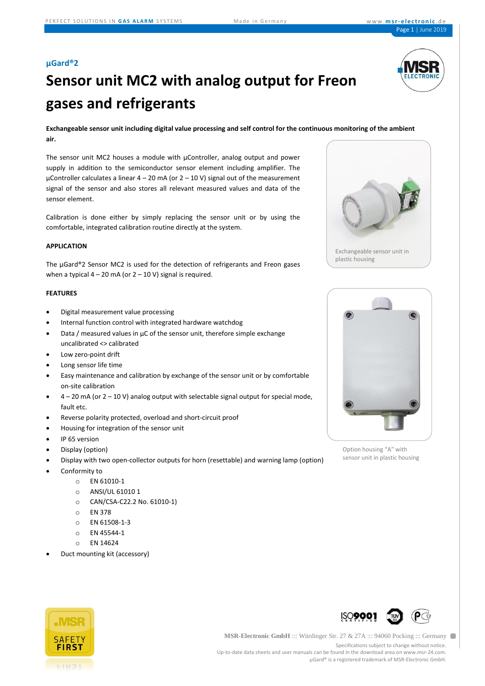#### **µGard®2**



# **Sensor unit MC2 with analog output for Freon gases and refrigerants**

**Exchangeable sensor unit including digital value processing and self control for the continuous monitoring of the ambient air.**

The sensor unit MC2 houses a module with µController, analog output and power supply in addition to the semiconductor sensor element including amplifier. The µController calculates a linear  $4 - 20$  mA (or  $2 - 10$  V) signal out of the measurement signal of the sensor and also stores all relevant measured values and data of the sensor element.

Calibration is done either by simply replacing the sensor unit or by using the comfortable, integrated calibration routine directly at the system.

#### **APPLICATION**

The µGard®2 Sensor MC2 is used for the detection of refrigerants and Freon gases when a typical  $4 - 20$  mA (or  $2 - 10$  V) signal is required.

#### **FEATURES**

- Digital measurement value processing
- Internal function control with integrated hardware watchdog
- Data / measured values in  $\mu$ C of the sensor unit, therefore simple exchange uncalibrated <> calibrated
- Low zero-point drift
- Long sensor life time
- Easy maintenance and calibration by exchange of the sensor unit or by comfortable on-site calibration
- $4 20$  mA (or  $2 10$  V) analog output with selectable signal output for special mode, fault etc.
- Reverse polarity protected, overload and short-circuit proof
- Housing for integration of the sensor unit
- IP 65 version
- Display (option)
- Display with two open-collector outputs for horn (resettable) and warning lamp (option)
- Conformity to
	- o EN 61010-1
	- o ANSI/UL 61010 1
	- o CAN/CSA-C22.2 No. 61010-1)
	- o EN 378
	- o EN 61508-1-3
	- o EN 45544-1
	- o EN 14624
- Duct mounting kit (accessory)





Option housing "A" with sensor unit in plastic housing





**MSR-Electronic GmbH** ::: Würdinger Str. 27 & 27A ::: 94060 Pocking ::: Germany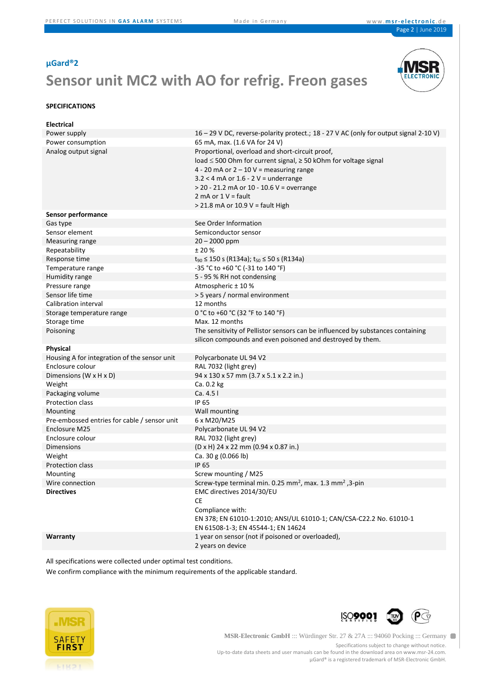#### **µGard®2**

### **Sensor unit MC2 with AO for refrig. Freon gases**



#### **SPECIFICATIONS**

| <b>Electrical</b>                            |                                                                                       |
|----------------------------------------------|---------------------------------------------------------------------------------------|
| Power supply                                 | 16 - 29 V DC, reverse-polarity protect.; 18 - 27 V AC (only for output signal 2-10 V) |
| Power consumption                            | 65 mA, max. (1.6 VA for 24 V)                                                         |
| Analog output signal                         | Proportional, overload and short-circuit proof,                                       |
|                                              | load ≤ 500 Ohm for current signal, ≥ 50 kOhm for voltage signal                       |
|                                              | 4 - 20 mA or $2 - 10$ V = measuring range                                             |
|                                              | $3.2 < 4$ mA or $1.6 - 2$ V = underrange                                              |
|                                              | $>$ 20 - 21.2 mA or 10 - 10.6 V = overrange                                           |
|                                              | 2 mA or $1 V =$ fault                                                                 |
|                                              | > 21.8 mA or 10.9 V = fault High                                                      |
| Sensor performance                           |                                                                                       |
| Gas type                                     | See Order Information                                                                 |
| Sensor element                               | Semiconductor sensor                                                                  |
| Measuring range                              | $20 - 2000$ ppm                                                                       |
| Repeatability                                | ± 20%                                                                                 |
| Response time                                | $t_{90}$ ≤ 150 s (R134a); $t_{50}$ ≤ 50 s (R134a)                                     |
| Temperature range                            | -35 °C to +60 °C (-31 to 140 °F)                                                      |
| Humidity range                               | 5 - 95 % RH not condensing                                                            |
| Pressure range                               | Atmospheric ± 10 %                                                                    |
| Sensor life time                             | > 5 years / normal environment                                                        |
| Calibration interval                         | 12 months                                                                             |
| Storage temperature range                    | 0 °C to +60 °C (32 °F to 140 °F)                                                      |
| Storage time                                 | Max. 12 months                                                                        |
| Poisoning                                    | The sensitivity of Pellistor sensors can be influenced by substances containing       |
|                                              | silicon compounds and even poisoned and destroyed by them.                            |
| <b>Physical</b>                              |                                                                                       |
| Housing A for integration of the sensor unit | Polycarbonate UL 94 V2                                                                |
| Enclosure colour                             | RAL 7032 (light grey)                                                                 |
| Dimensions (W x H x D)                       | 94 x 130 x 57 mm (3.7 x 5.1 x 2.2 in.)                                                |
| Weight                                       | Ca. 0.2 kg                                                                            |
| Packaging volume                             | Ca. 4.5 l                                                                             |
| Protection class                             | IP 65                                                                                 |
| Mounting                                     | Wall mounting                                                                         |
| Pre-embossed entries for cable / sensor unit | 6 x M20/M25                                                                           |
| Enclosure M25                                | Polycarbonate UL 94 V2                                                                |
| Enclosure colour                             | RAL 7032 (light grey)                                                                 |
| <b>Dimensions</b>                            | (D x H) 24 x 22 mm (0.94 x 0.87 in.)                                                  |
| Weight                                       | Ca. 30 g (0.066 lb)                                                                   |
| Protection class                             | IP 65                                                                                 |
| Mounting                                     | Screw mounting / M25                                                                  |
| Wire connection                              | Screw-type terminal min. 0.25 mm <sup>2</sup> , max. 1.3 mm <sup>2</sup> , 3-pin      |
| <b>Directives</b>                            | EMC directives 2014/30/EU                                                             |
|                                              | СE                                                                                    |
|                                              | Compliance with:                                                                      |
|                                              | EN 378; EN 61010-1:2010; ANSI/UL 61010-1; CAN/CSA-C22.2 No. 61010-1                   |
|                                              | EN 61508-1-3; EN 45544-1; EN 14624                                                    |
| Warranty                                     | 1 year on sensor (not if poisoned or overloaded),                                     |
|                                              | 2 years on device                                                                     |

All specifications were collected under optimal test conditions.

We confirm compliance with the minimum requirements of the applicable standard.





**MSR-Electronic GmbH** ::: Würdinger Str. 27 & 27A ::: 94060 Pocking ::: Germany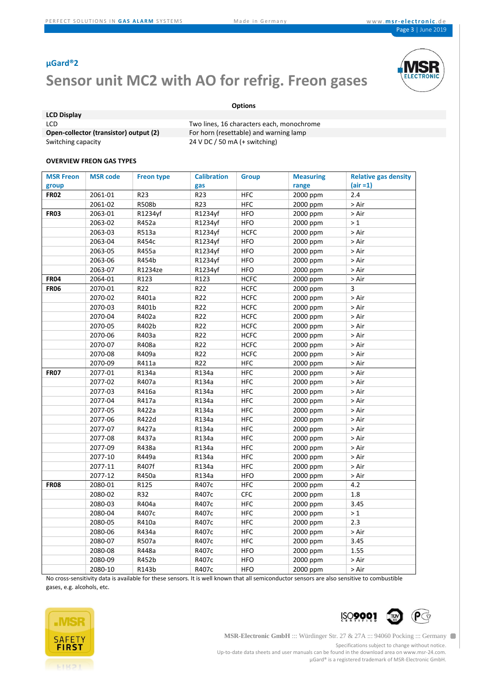### **µGard®2**

## **Sensor unit MC2 with AO for refrig. Freon gases**



#### **Options**

| <b>LCD Display</b>                     |                                 |
|----------------------------------------|---------------------------------|
| LCD.                                   | Two lines, 16 characters each,  |
| Open-collector (transistor) output (2) | For horn (resettable) and war   |
| Switching capacity                     | 24 V DC / 50 mA $(+$ switching) |

cters each, monochrome **(b)** and warning lamp

#### **OVERVIEW FREON GAS TYPES**

| <b>MSR Freon</b> | <b>MSR</b> code | <b>Freon type</b> | <b>Calibration</b> | <b>Group</b> | <b>Measuring</b> | <b>Relative gas density</b> |
|------------------|-----------------|-------------------|--------------------|--------------|------------------|-----------------------------|
| group            |                 |                   | gas                |              | range            | $air = 1)$                  |
| <b>FR02</b>      | 2061-01         | R23               | R <sub>23</sub>    | <b>HFC</b>   | 2000 ppm         | 2.4                         |
|                  | 2061-02         | R508b             | R23                | <b>HFC</b>   | 2000 ppm         | > Air                       |
| <b>FR03</b>      | 2063-01         | R1234yf           | R1234yf            | <b>HFO</b>   | 2000 ppm         | > Air                       |
|                  | 2063-02         | R452a             | R1234yf            | <b>HFO</b>   | 2000 ppm         | >1                          |
|                  | 2063-03         | R513a             | R1234yf            | <b>HCFC</b>  | 2000 ppm         | > Air                       |
|                  | 2063-04         | R454c             | R1234yf            | <b>HFO</b>   | 2000 ppm         | > Air                       |
|                  | 2063-05         | R455a             | R1234yf            | <b>HFO</b>   | 2000 ppm         | > Air                       |
|                  | 2063-06         | R454b             | R1234yf            | <b>HFO</b>   | 2000 ppm         | > Air                       |
|                  | 2063-07         | R1234ze           | R1234yf            | <b>HFO</b>   | 2000 ppm         | > Air                       |
| <b>FR04</b>      | 2064-01         | R123              | R123               | <b>HCFC</b>  | 2000 ppm         | > Air                       |
| <b>FR06</b>      | 2070-01         | R22               | R22                | <b>HCFC</b>  | 2000 ppm         | 3                           |
|                  | 2070-02         | R401a             | R22                | <b>HCFC</b>  | 2000 ppm         | > Air                       |
|                  | 2070-03         | R401b             | R22                | HCFC         | 2000 ppm         | > Air                       |
|                  | 2070-04         | R402a             | R22                | <b>HCFC</b>  | 2000 ppm         | > Air                       |
|                  | 2070-05         | R402b             | R22                | <b>HCFC</b>  | 2000 ppm         | > Air                       |
|                  | 2070-06         | R403a             | R22                | <b>HCFC</b>  | 2000 ppm         | > Air                       |
|                  | 2070-07         | R408a             | R22                | <b>HCFC</b>  | 2000 ppm         | > Air                       |
|                  | 2070-08         | R409a             | R22                | <b>HCFC</b>  | 2000 ppm         | > Air                       |
|                  | 2070-09         | R411a             | R22                | <b>HFC</b>   | 2000 ppm         | > Air                       |
| <b>FR07</b>      | 2077-01         | R134a             | R134a              | <b>HFC</b>   | 2000 ppm         | > Air                       |
|                  | 2077-02         | R407a             | R134a              | <b>HFC</b>   | 2000 ppm         | > Air                       |
|                  | 2077-03         | R416a             | R134a              | <b>HFC</b>   | 2000 ppm         | > Air                       |
|                  | 2077-04         | R417a             | R134a              | <b>HFC</b>   | 2000 ppm         | > Air                       |
|                  | 2077-05         | R422a             | R134a              | <b>HFC</b>   | 2000 ppm         | > Air                       |
|                  | 2077-06         | R422d             | R134a              | <b>HFC</b>   | 2000 ppm         | > Air                       |
|                  | 2077-07         | R427a             | R134a              | <b>HFC</b>   | 2000 ppm         | > Air                       |
|                  | 2077-08         | R437a             | R134a              | <b>HFC</b>   | 2000 ppm         | > Air                       |
|                  | 2077-09         | R438a             | R134a              | <b>HFC</b>   | 2000 ppm         | > Air                       |
|                  | 2077-10         | R449a             | R134a              | <b>HFC</b>   | 2000 ppm         | > Air                       |
|                  | 2077-11         | R407f             | R134a              | <b>HFC</b>   | 2000 ppm         | > Air                       |
|                  | 2077-12         | R450a             | R134a              | <b>HFO</b>   | 2000 ppm         | > Air                       |
| <b>FR08</b>      | 2080-01         | R125              | R407c              | <b>HFC</b>   | 2000 ppm         | 4.2                         |
|                  | 2080-02         | R32               | R407c              | <b>CFC</b>   | 2000 ppm         | 1.8                         |
|                  | 2080-03         | R404a             | R407c              | <b>HFC</b>   | 2000 ppm         | 3.45                        |
|                  | 2080-04         | R407c             | R407c              | <b>HFC</b>   | 2000 ppm         | >1                          |
|                  | 2080-05         | R410a             | R407c              | <b>HFC</b>   | 2000 ppm         | 2.3                         |
|                  | 2080-06         | R434a             | R407c              | <b>HFC</b>   | 2000 ppm         | > Air                       |
|                  | 2080-07         | R507a             | R407c              | <b>HFC</b>   | 2000 ppm         | 3.45                        |
|                  | 2080-08         | R448a             | R407c              | <b>HFO</b>   | 2000 ppm         | 1.55                        |
|                  | 2080-09         | R452b             | R407c              | <b>HFO</b>   | 2000 ppm         | > Air                       |
|                  | 2080-10         | R143b             | R407c              | <b>HFO</b>   | 2000 ppm         | > Air                       |

No cross-sensitivity data is available for these sensors. It is well known that all semiconductor sensors are also sensitive to combustible gases, e.g. alcohols, etc.



**MSR-Electronic GmbH** ::: Würdinger Str. 27 & 27A ::: 94060 Pocking ::: Germany

**ISO9001** 

 $\mathsf{P} \mathbb{G}$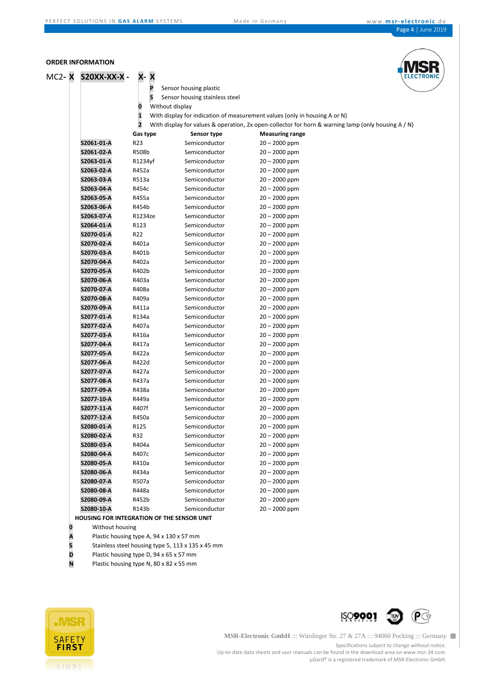ONI

#### **ORDER INFORMATION**

| MC2- <b>X</b> | <b>S20XX-XX-X-</b> | <b>X-X</b>                                 |                                |                                                                                                      | <b>ELECTF</b> |
|---------------|--------------------|--------------------------------------------|--------------------------------|------------------------------------------------------------------------------------------------------|---------------|
|               |                    | P                                          | Sensor housing plastic         |                                                                                                      |               |
|               |                    | S                                          | Sensor housing stainless steel |                                                                                                      |               |
|               |                    | Without display<br>0                       |                                |                                                                                                      |               |
|               |                    | $\mathbf{1}$                               |                                | With display for indication of measurement values (only in housing A or N)                           |               |
|               |                    | $\overline{2}$                             |                                | With display for values & operation, 2x open-collector for horn & warning lamp (only housing $A/N$ ) |               |
|               |                    | Gas type                                   | Sensor type                    | <b>Measuring range</b>                                                                               |               |
|               | S2061-01-A         | R23                                        | Semiconductor                  | $20 - 2000$ ppm                                                                                      |               |
|               | S2061-02-A         | R508b                                      | Semiconductor                  | $20 - 2000$ ppm                                                                                      |               |
|               | S2063-01-A         | R1234yf                                    | Semiconductor                  | $20 - 2000$ ppm                                                                                      |               |
|               | S2063-02-A         | R452a                                      | Semiconductor                  | $20 - 2000$ ppm                                                                                      |               |
|               | S2063-03-A         | R513a                                      | Semiconductor                  | $20 - 2000$ ppm                                                                                      |               |
|               | S2063-04-A         | R454c                                      | Semiconductor                  | $20 - 2000$ ppm                                                                                      |               |
|               | S2063 05-A         | R455a                                      | Semiconductor                  | $20 - 2000$ ppm                                                                                      |               |
|               | S2063-06-A         | R454b                                      | Semiconductor                  | $20 - 2000$ ppm                                                                                      |               |
|               | S2063-07-A         | R1234ze                                    | Semiconductor                  | $20 - 2000$ ppm                                                                                      |               |
|               | S2064-01-A         | R123                                       | Semiconductor                  | $20 - 2000$ ppm                                                                                      |               |
|               | S2070-01-A         | R22                                        | Semiconductor                  | $20 - 2000$ ppm                                                                                      |               |
|               | S2070-02-A         | R401a                                      | Semiconductor                  | $20 - 2000$ ppm                                                                                      |               |
|               | S2070-03-A         | R401b                                      | Semiconductor                  | $20 - 2000$ ppm                                                                                      |               |
|               | S2070-04-A         | R402a                                      | Semiconductor                  | $20 - 2000$ ppm                                                                                      |               |
|               | S2070-05-A         | R402b                                      | Semiconductor                  | $20 - 2000$ ppm                                                                                      |               |
|               | S2070-06-A         | R403a                                      | Semiconductor                  | $20 - 2000$ ppm                                                                                      |               |
|               | S2070-07-A         | R408a                                      | Semiconductor                  | $20 - 2000$ ppm                                                                                      |               |
|               | S2070-08-A         | R409a                                      | Semiconductor                  | $20 - 2000$ ppm                                                                                      |               |
|               | S2070-09-A         | R411a                                      | Semiconductor                  | $20 - 2000$ ppm                                                                                      |               |
|               | S2077-01-A         | R134a                                      | Semiconductor                  | $20 - 2000$ ppm                                                                                      |               |
|               | S2077-02-A         | R407a                                      | Semiconductor                  | $20 - 2000$ ppm                                                                                      |               |
|               | S2077-03-A         | R416a                                      | Semiconductor                  | $20 - 2000$ ppm                                                                                      |               |
|               | S2077-04-A         | R417a                                      | Semiconductor                  | $20 - 2000$ ppm                                                                                      |               |
|               | S2077-05-A         | R422a                                      | Semiconductor                  | $20 - 2000$ ppm                                                                                      |               |
|               | S2077-06-A         | R422d                                      | Semiconductor                  | $20 - 2000$ ppm                                                                                      |               |
|               | S2077-07-A         | R427a                                      | Semiconductor                  | $20 - 2000$ ppm                                                                                      |               |
|               | S2077-08-A         | R437a                                      | Semiconductor                  | $20 - 2000$ ppm                                                                                      |               |
|               | S2077-09-A         | R438a                                      | Semiconductor                  | $20 - 2000$ ppm                                                                                      |               |
|               | S2077-10-A         | R449a                                      | Semiconductor                  | $20 - 2000$ ppm                                                                                      |               |
|               | S2077-11-A         | R407f                                      | Semiconductor                  | $20 - 2000$ ppm                                                                                      |               |
|               | S2077-12-A         | R450a                                      | Semiconductor                  | $20 - 2000$ ppm                                                                                      |               |
|               | S2080-01-A         | R125                                       | Semiconductor                  | $20 - 2000$ ppm                                                                                      |               |
|               | S2080-02-A         | R32                                        | Semiconductor                  | $20 - 2000$ ppm                                                                                      |               |
|               | S2080-03-A         | R404a                                      | Semiconductor                  | $20 - 2000$ ppm                                                                                      |               |
|               | S2080-04-A         | R407c                                      | Semiconductor                  | $20 - 2000$ ppm                                                                                      |               |
|               | S2080-05-A         | R410a                                      | Semiconductor                  | $20 - 2000$ ppm                                                                                      |               |
|               | S2080-06-A         | R434a                                      | Semiconductor                  | $20 - 2000$ ppm                                                                                      |               |
|               | S2080-07-A         | R507a                                      | Semiconductor                  | $20 - 2000$ ppm                                                                                      |               |
|               | S2080-08-A         | R448a                                      | Semiconductor                  | 20 - 2000 ppm                                                                                        |               |
|               | S2080-09-A         | R452b                                      | Semiconductor                  | $20 - 2000$ ppm                                                                                      |               |
|               | S2080-10-A         | R143b                                      | Semiconductor                  | $20 - 2000$ ppm                                                                                      |               |
|               |                    | HOUSING FOR INTEGRATION OF THE SENSOR UNIT |                                |                                                                                                      |               |

- Plastic housing type A, 94 x 130 x 57 mm
- **0** Without housing<br> **A** Plastic housing ty<br> **5** Stainless steel ho<br> **D** Plastic housing ty **5** Stainless steel housing type 5, 113 x 135 x 45 mm
- **D** Plastic housing type D, 94 x 65 x 57 mm<br>**N** Plastic housing type N, 80 x 82 x 55 mm
- Plastic housing type N, 80 x 82 x 55 mm





**MSR-Electronic GmbH** ::: Würdinger Str. 27 & 27A ::: 94060 Pocking ::: Germany

Specifications subject to change without notice. Up-to-date data sheets and user manuals can be found in the download area on www.msr-24.com.

µGard® is a registered trademark of MSR-Electronic GmbH.